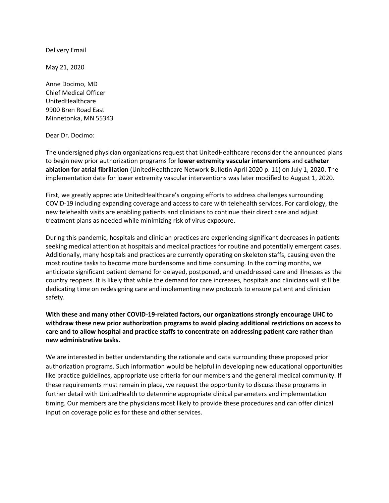Delivery Email

May 21, 2020

Anne Docimo, MD Chief Medical Officer UnitedHealthcare 9900 Bren Road East Minnetonka, MN 55343

Dear Dr. Docimo:

The undersigned physician organizations request that UnitedHealthcare reconsider the announced plans to begin new prior authorization programs for **lower extremity vascular interventions** and **catheter ablation for atrial fibrillation** (UnitedHealthcare Network Bulletin April 2020 p. 11) on July 1, 2020. The implementation date for lower extremity vascular interventions was later modified to August 1, 2020.

First, we greatly appreciate UnitedHealthcare's ongoing efforts to address challenges surrounding COVID-19 including expanding coverage and access to care with telehealth services. For cardiology, the new telehealth visits are enabling patients and clinicians to continue their direct care and adjust treatment plans as needed while minimizing risk of virus exposure.

During this pandemic, hospitals and clinician practices are experiencing significant decreases in patients seeking medical attention at hospitals and medical practices for routine and potentially emergent cases. Additionally, many hospitals and practices are currently operating on skeleton staffs, causing even the most routine tasks to become more burdensome and time consuming. In the coming months, we anticipate significant patient demand for delayed, postponed, and unaddressed care and illnesses as the country reopens. It is likely that while the demand for care increases, hospitals and clinicians will still be dedicating time on redesigning care and implementing new protocols to ensure patient and clinician safety.

**With these and many other COVID-19-related factors, our organizations strongly encourage UHC to withdraw these new prior authorization programs to avoid placing additional restrictions on access to care and to allow hospital and practice staffs to concentrate on addressing patient care rather than new administrative tasks.** 

We are interested in better understanding the rationale and data surrounding these proposed prior authorization programs. Such information would be helpful in developing new educational opportunities like practice guidelines, appropriate use criteria for our members and the general medical community. If these requirements must remain in place, we request the opportunity to discuss these programs in further detail with UnitedHealth to determine appropriate clinical parameters and implementation timing. Our members are the physicians most likely to provide these procedures and can offer clinical input on coverage policies for these and other services.